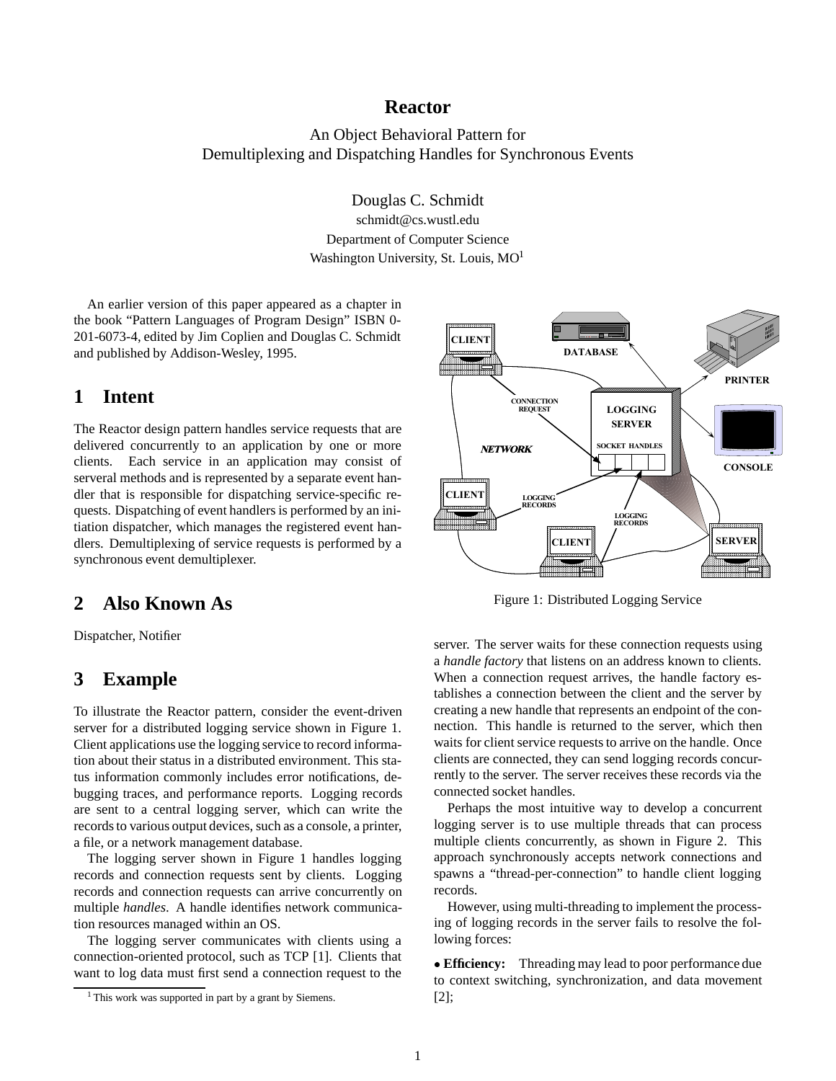## **Reactor**

An Object Behavioral Pattern for Demultiplexing and Dispatching Handles for Synchronous Events

Douglas C. Schmidt

schmidt@cs.wustl.edu Department of Computer Science Washington University, St. Louis, MO<sup>1</sup>

An earlier version of this paper appeared as a chapter in the book "Pattern Languages of Program Design" ISBN 0- 201-6073-4, edited by Jim Coplien and Douglas C. Schmidt and published by Addison-Wesley, 1995.

## **1 Intent**

The Reactor design pattern handles service requests that are delivered concurrently to an application by one or more clients. Each service in an application may consist of serveral methods and is represented by a separate event handler that is responsible for dispatching service-specific requests. Dispatching of event handlers is performed by an initiation dispatcher, which manages the registered event handlers. Demultiplexing of service requests is performed by a synchronous event demultiplexer.

## **2 Also Known As**

Dispatcher, Notifier

## **3 Example**

To illustrate the Reactor pattern, consider the event-driven server for a distributed logging service shown in Figure 1. Client applications use the logging service to record information about their status in a distributed environment. This status information commonly includes error notifications, debugging traces, and performance reports. Logging records are sent to a central logging server, which can write the records to various output devices, such as a console, a printer, a file, or a network management database.

The logging server shown in Figure 1 handles logging records and connection requests sent by clients. Logging records and connection requests can arrive concurrently on multiple *handles*. A handle identifies network communication resources managed within an OS.

The logging server communicates with clients using a connection-oriented protocol, such as TCP [1]. Clients that want to log data must first send a connection request to the



Figure 1: Distributed Logging Service

server. The server waits for these connection requests using a *handle factory* that listens on an address known to clients. When a connection request arrives, the handle factory establishes a connection between the client and the server by creating a new handle that represents an endpoint of the connection. This handle is returned to the server, which then waits for client service requests to arrive on the handle. Once clients are connected, they can send logging records concurrently to the server. The server receives these records via the connected socket handles.

Perhaps the most intuitive way to develop a concurrent logging server is to use multiple threads that can process multiple clients concurrently, as shown in Figure 2. This approach synchronously accepts network connections and spawns a "thread-per-connection" to handle client logging records.

However, using multi-threading to implement the processing of logging records in the server fails to resolve the following forces:

 **Efficiency:** Threading may lead to poor performance due to context switching, synchronization, and data movement [2];

<sup>&</sup>lt;sup>1</sup> This work was supported in part by a grant by Siemens.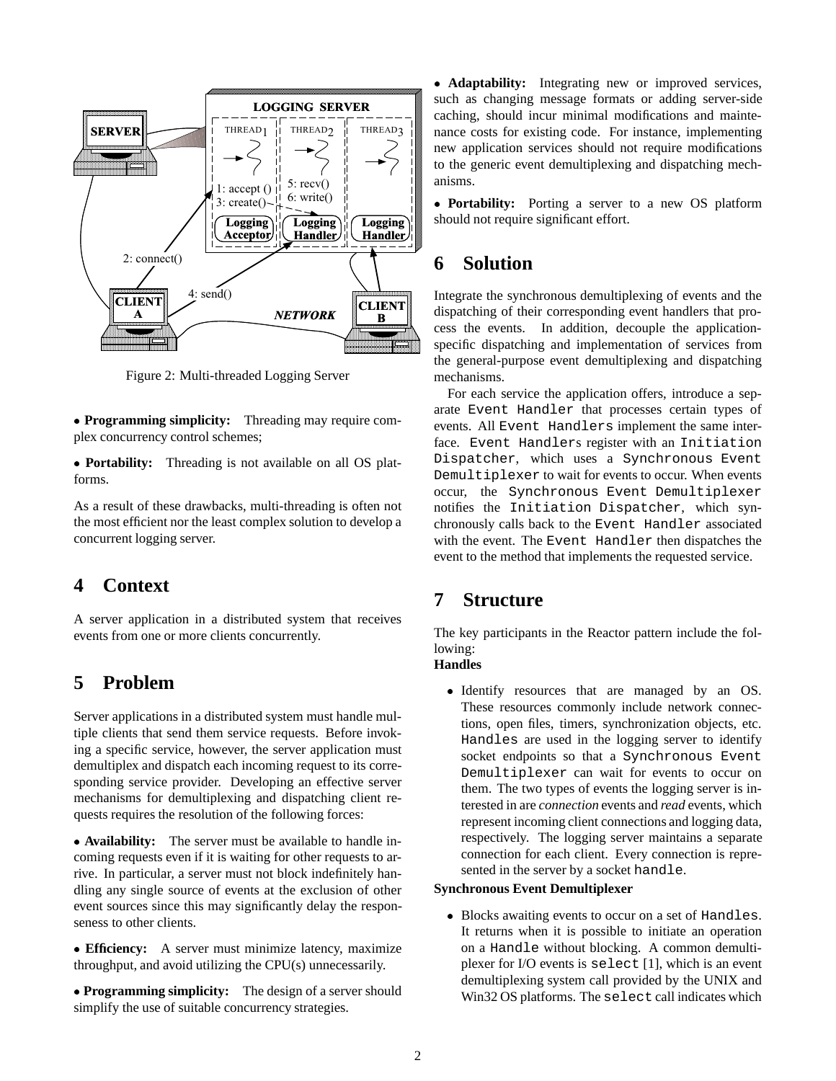

Figure 2: Multi-threaded Logging Server

 **Programming simplicity:** Threading may require complex concurrency control schemes;

 **Portability:** Threading is not available on all OS platforms.

As a result of these drawbacks, multi-threading is often not the most efficient nor the least complex solution to develop a concurrent logging server.

# **4 Context**

A server application in a distributed system that receives events from one or more clients concurrently.

## **5 Problem**

Server applications in a distributed system must handle multiple clients that send them service requests. Before invoking a specific service, however, the server application must demultiplex and dispatch each incoming request to its corresponding service provider. Developing an effective server mechanisms for demultiplexing and dispatching client requests requires the resolution of the following forces:

 **Availability:** The server must be available to handle incoming requests even if it is waiting for other requests to arrive. In particular, a server must not block indefinitely handling any single source of events at the exclusion of other event sources since this may significantly delay the responseness to other clients.

 **Efficiency:** A server must minimize latency, maximize throughput, and avoid utilizing the CPU(s) unnecessarily.

 **Programming simplicity:** The design of a server should simplify the use of suitable concurrency strategies.

 **Adaptability:** Integrating new or improved services, such as changing message formats or adding server-side caching, should incur minimal modifications and maintenance costs for existing code. For instance, implementing new application services should not require modifications to the generic event demultiplexing and dispatching mechanisms.

 **Portability:** Porting a server to a new OS platform should not require significant effort.

# **6 Solution**

Integrate the synchronous demultiplexing of events and the dispatching of their corresponding event handlers that process the events. In addition, decouple the applicationspecific dispatching and implementation of services from the general-purpose event demultiplexing and dispatching mechanisms.

For each service the application offers, introduce a separate Event Handler that processes certain types of events. All Event Handlers implement the same interface. Event Handlers register with an Initiation Dispatcher, which uses a Synchronous Event Demultiplexer to wait for events to occur. When events occur, the Synchronous Event Demultiplexer notifies the Initiation Dispatcher, which synchronously calls back to the Event Handler associated with the event. The Event Handler then dispatches the event to the method that implements the requested service.

# **7 Structure**

The key participants in the Reactor pattern include the following:

#### **Handles**

 Identify resources that are managed by an OS. These resources commonly include network connections, open files, timers, synchronization objects, etc. Handles are used in the logging server to identify socket endpoints so that a Synchronous Event Demultiplexer can wait for events to occur on them. The two types of events the logging server is interested in are *connection* events and *read* events, which represent incoming client connections and logging data, respectively. The logging server maintains a separate connection for each client. Every connection is represented in the server by a socket handle.

#### **Synchronous Event Demultiplexer**

 Blocks awaiting events to occur on a set of Handles. It returns when it is possible to initiate an operation on a Handle without blocking. A common demultiplexer for I/O events is select [1], which is an event demultiplexing system call provided by the UNIX and Win32 OS platforms. The select call indicates which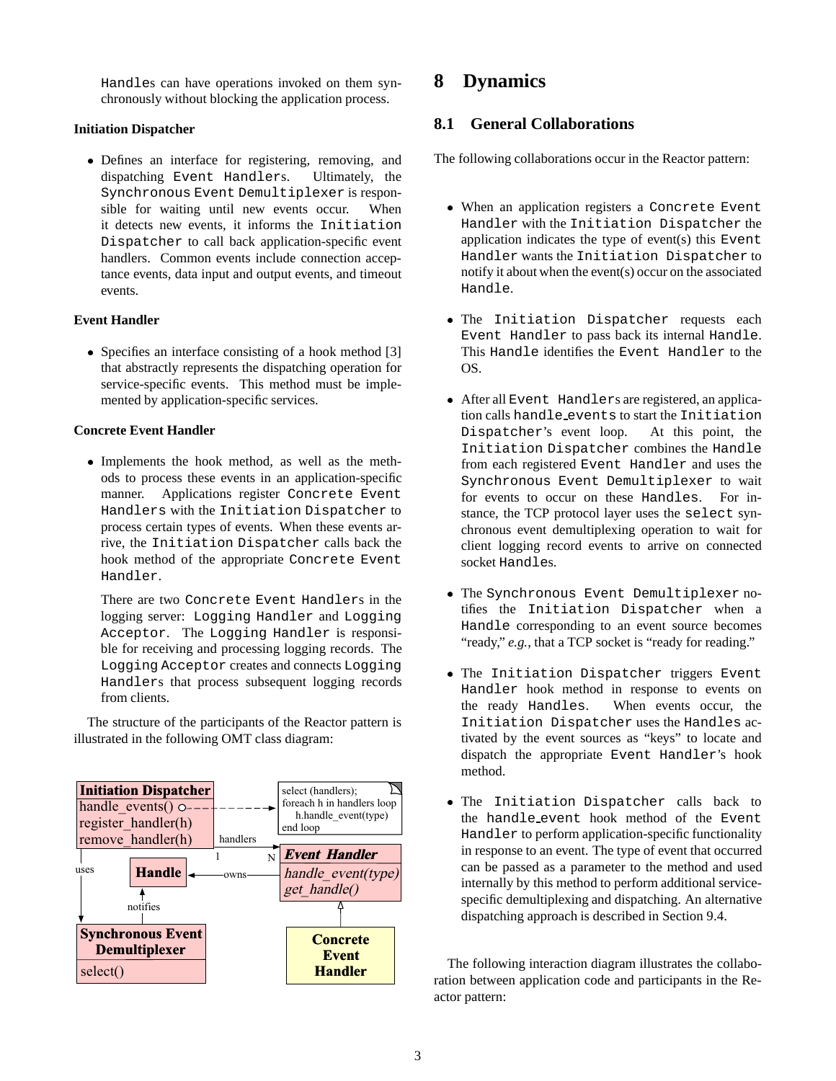Handles can have operations invoked on them synchronously without blocking the application process.

#### **Initiation Dispatcher**

 Defines an interface for registering, removing, and dispatching Event Handlers. Ultimately, the Synchronous Event Demultiplexer is responsible for waiting until new events occur. When it detects new events, it informs the Initiation Dispatcher to call back application-specific event handlers. Common events include connection acceptance events, data input and output events, and timeout events.

#### **Event Handler**

 Specifies an interface consisting of a hook method [3] that abstractly represents the dispatching operation for service-specific events. This method must be implemented by application-specific services.

#### **Concrete Event Handler**

 Implements the hook method, as well as the methods to process these events in an application-specific manner. Applications register Concrete Event Handlers with the Initiation Dispatcher to process certain types of events. When these events arrive, the Initiation Dispatcher calls back the hook method of the appropriate Concrete Event Handler.

There are two Concrete Event Handlers in the logging server: Logging Handler and Logging Acceptor. The Logging Handler is responsible for receiving and processing logging records. The Logging Acceptor creates and connects Logging Handlers that process subsequent logging records from clients.

The structure of the participants of the Reactor pattern is illustrated in the following OMT class diagram:



# **8 Dynamics**

### **8.1 General Collaborations**

The following collaborations occur in the Reactor pattern:

- When an application registers a Concrete Event Handler with the Initiation Dispatcher the application indicates the type of event(s) this Event Handler wants the Initiation Dispatcher to notify it about when the event(s) occur on the associated Handle.
- The Initiation Dispatcher requests each Event Handler to pass back its internal Handle. This Handle identifies the Event Handler to the OS.
- After all Event Handlers are registered, an application calls handle events to start the Initiation Dispatcher's event loop. At this point, the Initiation Dispatcher combines the Handle from each registered Event Handler and uses the Synchronous Event Demultiplexer to wait for events to occur on these Handles. For instance, the TCP protocol layer uses the select synchronous event demultiplexing operation to wait for client logging record events to arrive on connected socket Handles.
- The Synchronous Event Demultiplexer notifies the Initiation Dispatcher when a Handle corresponding to an event source becomes "ready," *e.g.*, that a TCP socket is "ready for reading."
- The Initiation Dispatcher triggers Event Handler hook method in response to events on the ready Handles. When events occur, the Initiation Dispatcher uses the Handles activated by the event sources as "keys" to locate and dispatch the appropriate Event Handler's hook method.
- The Initiation Dispatcher calls back to the handle event hook method of the Event Handler to perform application-specific functionality in response to an event. The type of event that occurred can be passed as a parameter to the method and used internally by this method to perform additional servicespecific demultiplexing and dispatching. An alternative dispatching approach is described in Section 9.4.

The following interaction diagram illustrates the collaboration between application code and participants in the Reactor pattern: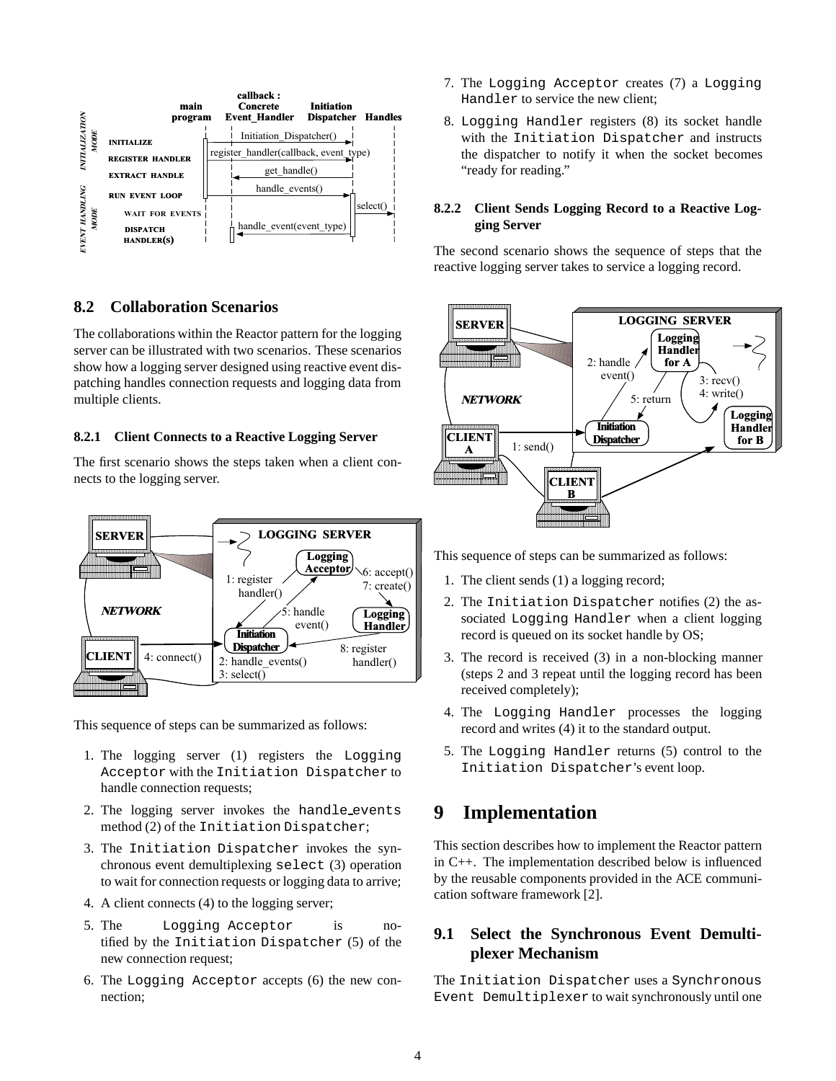

### **8.2 Collaboration Scenarios**

The collaborations within the Reactor pattern for the logging server can be illustrated with two scenarios. These scenarios show how a logging server designed using reactive event dispatching handles connection requests and logging data from multiple clients.

#### **8.2.1 Client Connects to a Reactive Logging Server**

The first scenario shows the steps taken when a client connects to the logging server.



This sequence of steps can be summarized as follows:

- 1. The logging server (1) registers the Logging Acceptor with the Initiation Dispatcher to handle connection requests;
- 2. The logging server invokes the handle events method (2) of the Initiation Dispatcher;
- 3. The Initiation Dispatcher invokes the synchronous event demultiplexing select (3) operation to wait for connection requests or logging data to arrive;
- 4. A client connects (4) to the logging server;
- 5. The Logging Acceptor is notified by the Initiation Dispatcher (5) of the new connection request;
- 6. The Logging Acceptor accepts (6) the new connection;
- 7. The Logging Acceptor creates (7) a Logging Handler to service the new client;
- 8. Logging Handler registers (8) its socket handle with the Initiation Dispatcher and instructs the dispatcher to notify it when the socket becomes "ready for reading."

#### **8.2.2 Client Sends Logging Record to a Reactive Logging Server**

The second scenario shows the sequence of steps that the reactive logging server takes to service a logging record.



This sequence of steps can be summarized as follows:

- 1. The client sends (1) a logging record;
- 2. The Initiation Dispatcher notifies (2) the associated Logging Handler when a client logging record is queued on its socket handle by OS;
- 3. The record is received (3) in a non-blocking manner (steps 2 and 3 repeat until the logging record has been received completely);
- 4. The Logging Handler processes the logging record and writes (4) it to the standard output.
- 5. The Logging Handler returns (5) control to the Initiation Dispatcher's event loop.

# **9 Implementation**

This section describes how to implement the Reactor pattern in C++. The implementation described below is influenced by the reusable components provided in the ACE communication software framework [2].

### **9.1 Select the Synchronous Event Demultiplexer Mechanism**

The Initiation Dispatcher uses a Synchronous Event Demultiplexer to wait synchronously until one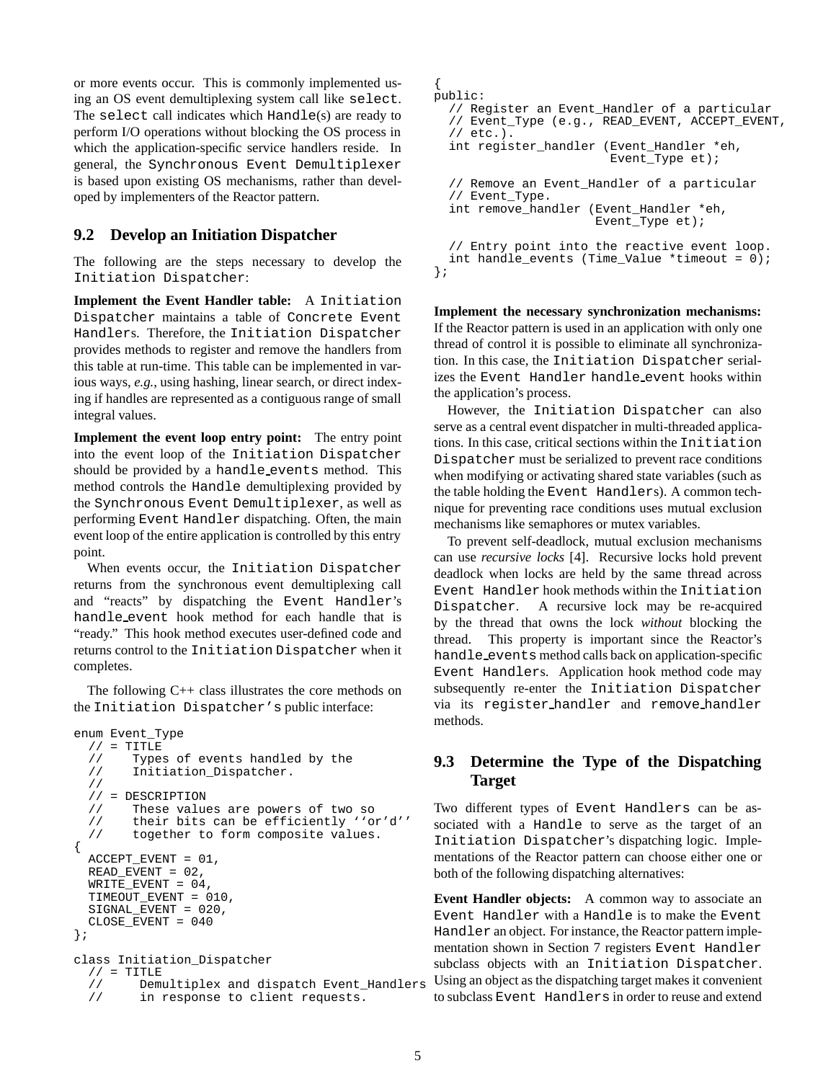or more events occur. This is commonly implemented using an OS event demultiplexing system call like select. The select call indicates which Handle(s) are ready to perform I/O operations without blocking the OS process in which the application-specific service handlers reside. In general, the Synchronous Event Demultiplexer is based upon existing OS mechanisms, rather than developed by implementers of the Reactor pattern.

#### **9.2 Develop an Initiation Dispatcher**

The following are the steps necessary to develop the Initiation Dispatcher:

**Implement the Event Handler table:** A Initiation Dispatcher maintains a table of Concrete Event Handlers. Therefore, the Initiation Dispatcher provides methods to register and remove the handlers from this table at run-time. This table can be implemented in various ways, *e.g.*, using hashing, linear search, or direct indexing if handles are represented as a contiguous range of small integral values.

**Implement the event loop entry point:** The entry point into the event loop of the Initiation Dispatcher should be provided by a handle events method. This method controls the Handle demultiplexing provided by the Synchronous Event Demultiplexer, as well as performing Event Handler dispatching. Often, the main event loop of the entire application is controlled by this entry point.

When events occur, the Initiation Dispatcher returns from the synchronous event demultiplexing call and "reacts" by dispatching the Event Handler's handle event hook method for each handle that is "ready." This hook method executes user-defined code and returns control to the Initiation Dispatcher when it completes.

The following  $C++$  class illustrates the core methods on the Initiation Dispatcher's public interface:

```
enum Event_Type
  // = TITLE// Types of events handled by the<br>// Initiation_Dispatcher.
          Initiation_Dispatcher.
   //
   // = DESCRIPTION
  // These values are powers of two so<br>// their bits can be efficiently ''o
   // their bits can be efficiently ''or'd''<br>// together to form composite values.
          together to form composite values.
{
  ACCEPT EVENT = 01,
  READ_EVENT = 02,
  WRITE_EVENT = 04,
  TIMEOUT_EVENT = 010,
  SIGNAL_EVENT = 020,
  CLOSE_EVENT = 040
};
class Initiation_Dispatcher
  // = TITLE<br>// Dem
   // Demultiplex and dispatch Event_Handlers<br>// in response to client requests.
            in response to client requests.
```

```
{
public:
  // Register an Event_Handler of a particular
  // Event_Type (e.g., READ_EVENT, ACCEPT_EVENT,
  // etc.).
  int register_handler (Event_Handler *eh,
                        Event_Type et);
  // Remove an Event_Handler of a particular
  // Event_Type.
  int remove_handler (Event_Handler *eh,
                      Event_Type et);
  // Entry point into the reactive event loop.
  int handle_events (Time_Value *timeout = 0);
};
```
**Implement the necessary synchronization mechanisms:** If the Reactor pattern is used in an application with only one thread of control it is possible to eliminate all synchronization. In this case, the Initiation Dispatcher serializes the Event Handler handle event hooks within the application's process.

However, the Initiation Dispatcher can also serve as a central event dispatcher in multi-threaded applications. In this case, critical sections within the Initiation Dispatcher must be serialized to prevent race conditions when modifying or activating shared state variables (such as the table holding the Event Handlers). A common technique for preventing race conditions uses mutual exclusion mechanisms like semaphores or mutex variables.

To prevent self-deadlock, mutual exclusion mechanisms can use *recursive locks* [4]. Recursive locks hold prevent deadlock when locks are held by the same thread across Event Handler hook methods within the Initiation Dispatcher. A recursive lock may be re-acquired by the thread that owns the lock *without* blocking the thread. This property is important since the Reactor's handle events method calls back on application-specific Event Handlers. Application hook method code may subsequently re-enter the Initiation Dispatcher via its register handler and remove handler methods.

### **9.3 Determine the Type of the Dispatching Target**

Two different types of Event Handlers can be associated with a Handle to serve as the target of an Initiation Dispatcher's dispatching logic. Implementations of the Reactor pattern can choose either one or both of the following dispatching alternatives:

**Event Handler objects:** A common way to associate an Event Handler with a Handle is to make the Event Handler an object. For instance, the Reactor pattern implementation shown in Section 7 registers Event Handler subclass objects with an Initiation Dispatcher. Using an object as the dispatching target makes it convenient to subclass Event Handlers in order to reuse and extend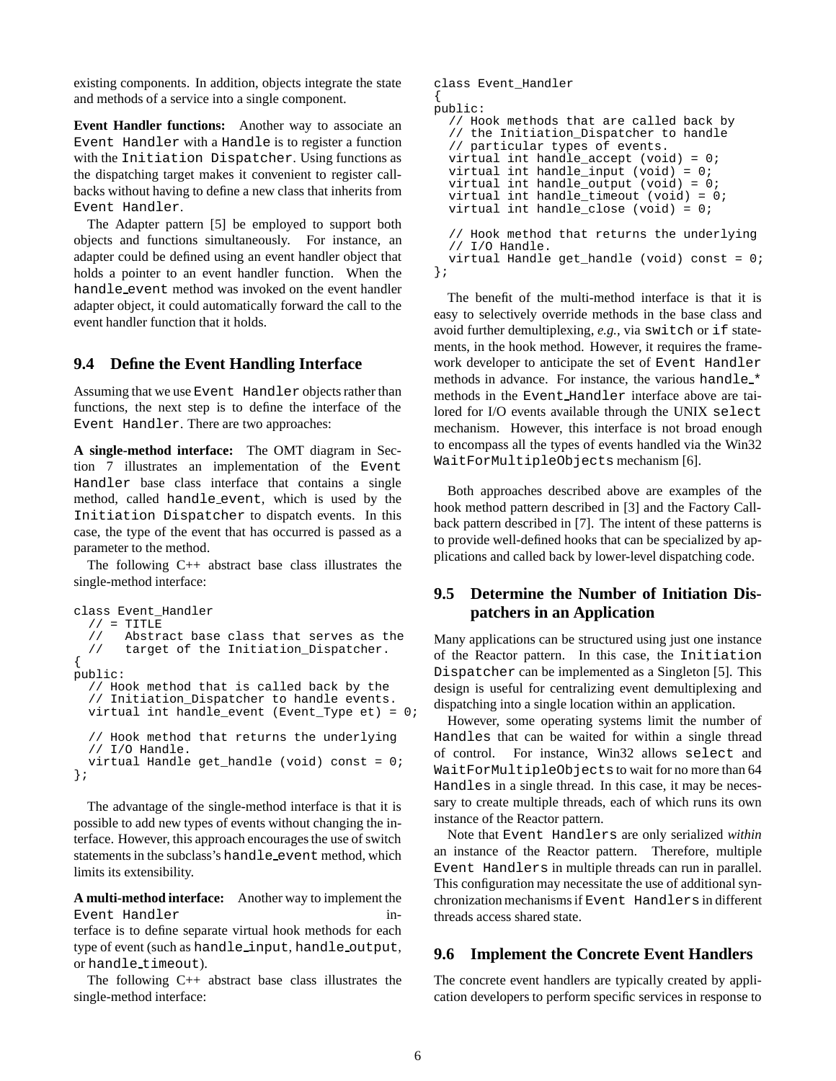existing components. In addition, objects integrate the state and methods of a service into a single component.

**Event Handler functions:** Another way to associate an Event Handler with a Handle is to register a function with the Initiation Dispatcher. Using functions as the dispatching target makes it convenient to register callbacks without having to define a new class that inherits from Event Handler.

The Adapter pattern [5] be employed to support both objects and functions simultaneously. For instance, an adapter could be defined using an event handler object that holds a pointer to an event handler function. When the handle event method was invoked on the event handler adapter object, it could automatically forward the call to the event handler function that it holds.

#### **9.4 Define the Event Handling Interface**

Assuming that we use Event Handler objects rather than functions, the next step is to define the interface of the Event Handler. There are two approaches:

**A single-method interface:** The OMT diagram in Section 7 illustrates an implementation of the Event Handler base class interface that contains a single method, called handle event, which is used by the Initiation Dispatcher to dispatch events. In this case, the type of the event that has occurred is passed as a parameter to the method.

The following  $C_{++}$  abstract base class illustrates the single-method interface:

```
class Event_Handler
  // = TITLE// Abstract base class that serves as the
  // target of the Initiation_Dispatcher.
{
public:
  // Hook method that is called back by the
  // Initiation_Dispatcher to handle events.
 virtual int handle_event (Event_Type et) = 0;
  // Hook method that returns the underlying
  // I/O Handle.
 virtual Handle get_handle (void) const = 0;
};
```
The advantage of the single-method interface is that it is possible to add new types of events without changing the interface. However, this approach encourages the use of switch statements in the subclass's handle event method, which limits its extensibility.

**A multi-method interface:** Another way to implement the Event Handler interface is to define separate virtual hook methods for each type of event (such as handle\_input, handle\_output, or handle timeout).

The following  $C_{++}$  abstract base class illustrates the single-method interface:

```
class Event_Handler
{
public:
  // Hook methods that are called back by
  // the Initiation_Dispatcher to handle
  // particular types of events.
  virtual int handle_accept (void) = 0;
  virtual int handle_input (void) = 0;
  virtual int handle output (void) = 0;virtual int handle_timeout (void) = 0;
  virtual int handle_close (void) = 0;
  // Hook method that returns the underlying
  // I/O Handle.
  virtual Handle get_handle (void) const = 0;
```
};

The benefit of the multi-method interface is that it is easy to selectively override methods in the base class and avoid further demultiplexing, *e.g.,* via switch or if statements, in the hook method. However, it requires the framework developer to anticipate the set of Event Handler methods in advance. For instance, the various handle \* methods in the Event Handler interface above are tailored for I/O events available through the UNIX select mechanism. However, this interface is not broad enough to encompass all the types of events handled via the Win32 WaitForMultipleObjects mechanism [6].

Both approaches described above are examples of the hook method pattern described in [3] and the Factory Callback pattern described in [7]. The intent of these patterns is to provide well-defined hooks that can be specialized by applications and called back by lower-level dispatching code.

### **9.5 Determine the Number of Initiation Dispatchers in an Application**

Many applications can be structured using just one instance of the Reactor pattern. In this case, the Initiation Dispatcher can be implemented as a Singleton [5]. This design is useful for centralizing event demultiplexing and dispatching into a single location within an application.

However, some operating systems limit the number of Handles that can be waited for within a single thread of control. For instance, Win32 allows select and WaitForMultipleObjects to wait for no more than 64 Handles in a single thread. In this case, it may be necessary to create multiple threads, each of which runs its own instance of the Reactor pattern.

Note that Event Handlers are only serialized *within* an instance of the Reactor pattern. Therefore, multiple Event Handlers in multiple threads can run in parallel. This configuration may necessitate the use of additional synchronization mechanisms if Event Handlers in different threads access shared state.

### **9.6 Implement the Concrete Event Handlers**

The concrete event handlers are typically created by application developers to perform specific services in response to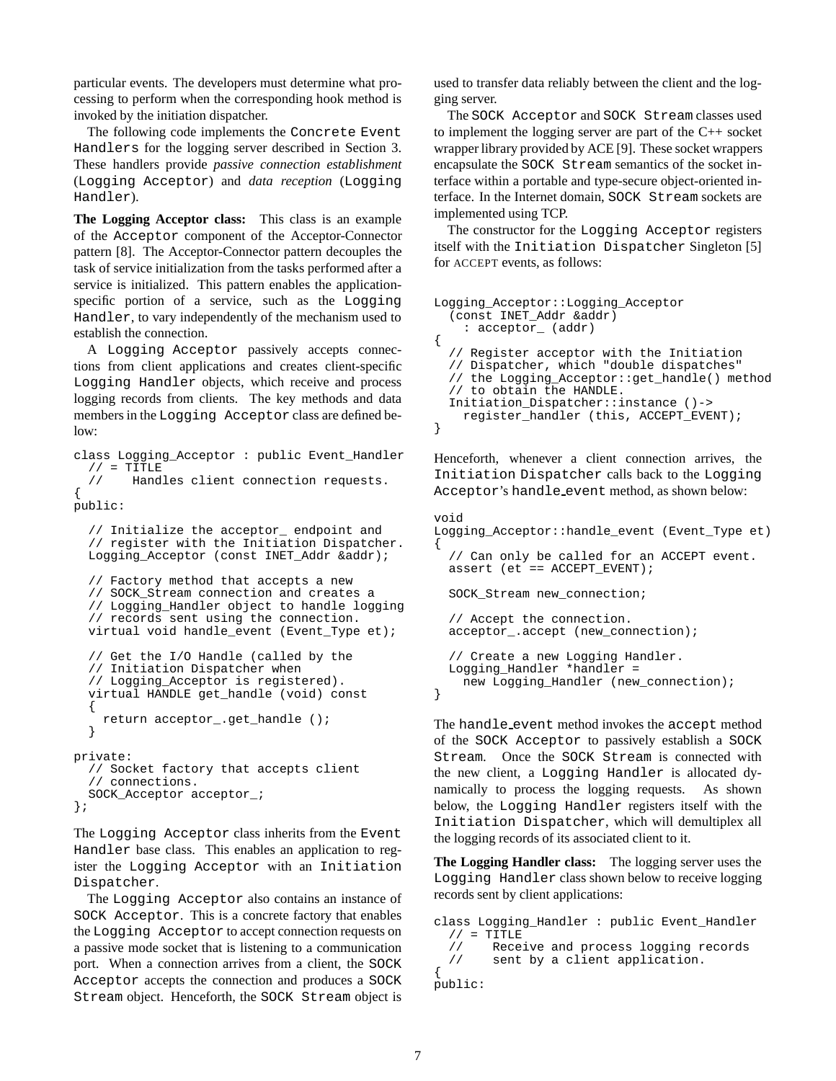particular events. The developers must determine what processing to perform when the corresponding hook method is invoked by the initiation dispatcher.

The following code implements the Concrete Event Handlers for the logging server described in Section 3. These handlers provide *passive connection establishment* (Logging Acceptor) and *data reception* (Logging Handler).

**The Logging Acceptor class:** This class is an example of the Acceptor component of the Acceptor-Connector pattern [8]. The Acceptor-Connector pattern decouples the task of service initialization from the tasks performed after a service is initialized. This pattern enables the applicationspecific portion of a service, such as the Logging Handler, to vary independently of the mechanism used to establish the connection.

A Logging Acceptor passively accepts connections from client applications and creates client-specific Logging Handler objects, which receive and process logging records from clients. The key methods and data members in the Logging Acceptor class are defined below:

```
class Logging_Acceptor : public Event_Handler
  // = TITLE<br>// Hand
        Handles client connection requests.
{
public:
  // Initialize the acceptor_ endpoint and
  // register with the Initiation Dispatcher.
  Logging_Acceptor (const INET_Addr &addr);
  // Factory method that accepts a new
  // SOCK_Stream connection and creates a
  // Logging_Handler object to handle logging
  // records sent using the connection.
  virtual void handle_event (Event_Type et);
  // Get the I/O Handle (called by the
  // Initiation Dispatcher when
  // Logging_Acceptor is registered).
  virtual HANDLE get_handle (void) const
  {
    return acceptor_.get_handle ();
  }
private:
  // Socket factory that accepts client
  // connections.
  SOCK_Acceptor acceptor_;
};
```
The Logging Acceptor class inherits from the Event Handler base class. This enables an application to register the Logging Acceptor with an Initiation Dispatcher.

The Logging Acceptor also contains an instance of SOCK Acceptor. This is a concrete factory that enables the Logging Acceptor to accept connection requests on a passive mode socket that is listening to a communication port. When a connection arrives from a client, the SOCK Acceptor accepts the connection and produces a SOCK Stream object. Henceforth, the SOCK Stream object is

used to transfer data reliably between the client and the logging server.

The SOCK Acceptor and SOCK Stream classes used to implement the logging server are part of the C++ socket wrapper library provided by ACE [9]. These socket wrappers encapsulate the SOCK Stream semantics of the socket interface within a portable and type-secure object-oriented interface. In the Internet domain, SOCK Stream sockets are implemented using TCP.

The constructor for the Logging Acceptor registers itself with the Initiation Dispatcher Singleton [5] for ACCEPT events, as follows:

```
Logging_Acceptor::Logging_Acceptor
  (const INET_Addr &addr)
    : acceptor_ (addr)
{
  // Register acceptor with the Initiation
  // Dispatcher, which "double dispatches"
  // the Logging_Acceptor::get_handle() method
  // to obtain the HANDLE.
  Initiation_Dispatcher::instance ()->
    register_handler (this, ACCEPT_EVENT);
}
```
Henceforth, whenever a client connection arrives, the Initiation Dispatcher calls back to the Logging Acceptor's handle event method, as shown below:

```
void
Logging_Acceptor::handle_event (Event_Type et)
{
  // Can only be called for an ACCEPT event.
  assert (et == ACCEPT EVENT);
  SOCK_Stream new_connection;
  // Accept the connection.
  acceptor_.accept (new_connection);
  // Create a new Logging Handler.
  Logging_Handler *handler =
    new Logging_Handler (new_connection);
}
```
The handle event method invokes the accept method of the SOCK Acceptor to passively establish a SOCK Stream. Once the SOCK Stream is connected with the new client, a Logging Handler is allocated dynamically to process the logging requests. As shown below, the Logging Handler registers itself with the Initiation Dispatcher, which will demultiplex all the logging records of its associated client to it.

**The Logging Handler class:** The logging server uses the Logging Handler class shown below to receive logging records sent by client applications:

```
class Logging_Handler : public Event_Handler
  // = TITLE// Receive and process logging records<br>// sent by a client application.
          sent by a client application.
{
public:
```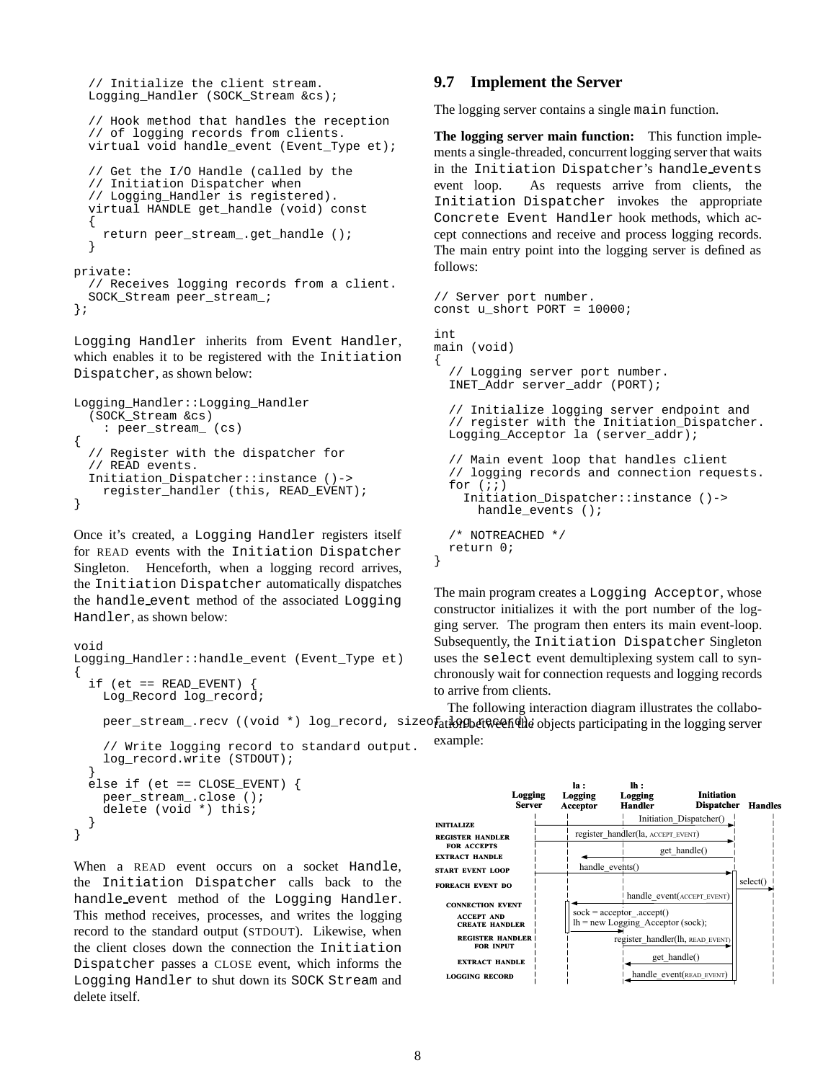```
// Initialize the client stream.
  Logging_Handler (SOCK_Stream &cs);
  // Hook method that handles the reception
  // of logging records from clients.
  virtual void handle_event (Event_Type et);
  // Get the I/O Handle (called by the
  // Initiation Dispatcher when
  // Logging_Handler is registered).
  virtual HANDLE get_handle (void) const
  {
    return peer_stream_.get_handle ();
  }
private:
  // Receives logging records from a client.
  SOCK_Stream peer_stream_;
```

```
};
```
Logging Handler inherits from Event Handler, which enables it to be registered with the Initiation Dispatcher, as shown below:

```
Logging_Handler::Logging_Handler
  (SOCK_Stream &cs)
    : peer_stream_ (cs)
{
  // Register with the dispatcher for
  // READ events.
  Initiation_Dispatcher::instance ()->
    register_handler (this, READ_EVENT);
}
```
Once it's created, a Logging Handler registers itself for READ events with the Initiation Dispatcher Singleton. Henceforth, when a logging record arrives, the Initiation Dispatcher automatically dispatches the handle event method of the associated Logging Handler, as shown below:

```
void
Logging_Handler::handle_event (Event_Type et)
{
  if (et == READ_EVENT)
    Log_Record log_record;
    // Write logging record to standard output.
    log_record.write (STDOUT);
  }
  else if (et == CLOSE EVENT) {
   peer_stream_.close ();
```

```
delete (void *) this;
  }
}
When a READ event occurs on a socket Handle.
```
the Initiation Dispatcher calls back to the handle event method of the Logging Handler. This method receives, processes, and writes the logging record to the standard output (STDOUT). Likewise, when the client closes down the connection the Initiation Dispatcher passes a CLOSE event, which informs the Logging Handler to shut down its SOCK Stream and delete itself.

### **9.7 Implement the Server**

The logging server contains a single main function.

**The logging server main function:** This function implements a single-threaded, concurrent logging server that waits in the Initiation Dispatcher's handle events event loop. As requests arrive from clients, the Initiation Dispatcher invokes the appropriate Concrete Event Handler hook methods, which accept connections and receive and process logging records. The main entry point into the logging server is defined as follows:

```
// Server port number.
const u_short PORT = 10000;
int
main (void)
{
  // Logging server port number.
  INET_Addr server_addr (PORT);
  // Initialize logging server endpoint and
  // register with the Initiation_Dispatcher.
  Logging_Acceptor la (server_addr);
  // Main event loop that handles client
  // logging records and connection requests.
  for (i; j)Initiation_Dispatcher::instance ()->
      handle_events ();
  /* NOTREACHED */
  return 0;
}
```
The main program creates a Logging Acceptor, whose constructor initializes it with the port number of the logging server. The program then enters its main event-loop. Subsequently, the Initiation Dispatcher Singleton uses the select event demultiplexing system call to synchronously wait for connection requests and logging records to arrive from clients.

peer\_stream\_.recv ((void \*) log\_record, sizeo<del>fatk9pBeN&eendhe</del> objects participating in the logging server The following interaction diagram illustrates the collaboexample:

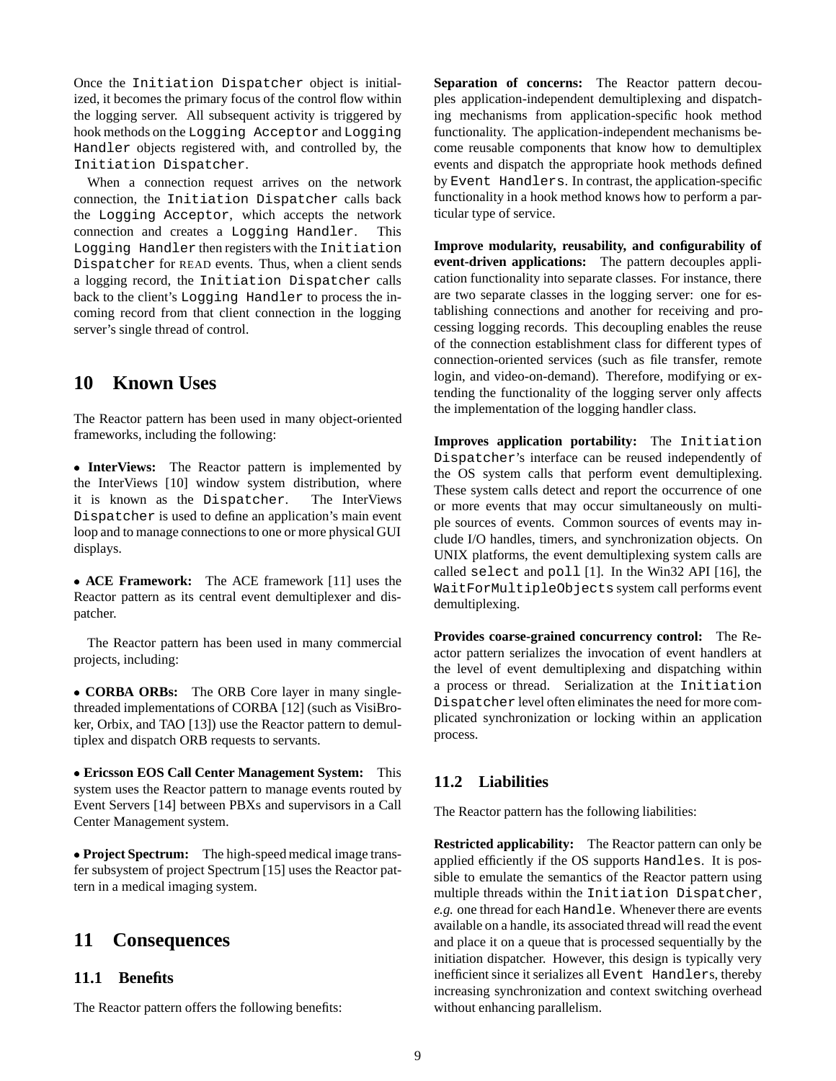Once the Initiation Dispatcher object is initialized, it becomes the primary focus of the control flow within the logging server. All subsequent activity is triggered by hook methods on the Logging Acceptor and Logging Handler objects registered with, and controlled by, the Initiation Dispatcher.

When a connection request arrives on the network connection, the Initiation Dispatcher calls back the Logging Acceptor, which accepts the network connection and creates a Logging Handler. This Logging Handler then registers with the Initiation Dispatcher for READ events. Thus, when a client sends a logging record, the Initiation Dispatcher calls back to the client's Logging Handler to process the incoming record from that client connection in the logging server's single thread of control.

## **10 Known Uses**

The Reactor pattern has been used in many object-oriented frameworks, including the following:

 **InterViews:** The Reactor pattern is implemented by the InterViews [10] window system distribution, where it is known as the Dispatcher. The InterViews Dispatcher is used to define an application's main event loop and to manage connections to one or more physical GUI displays.

 **ACE Framework:** The ACE framework [11] uses the Reactor pattern as its central event demultiplexer and dispatcher.

The Reactor pattern has been used in many commercial projects, including:

 **CORBA ORBs:** The ORB Core layer in many singlethreaded implementations of CORBA [12] (such as VisiBroker, Orbix, and TAO [13]) use the Reactor pattern to demultiplex and dispatch ORB requests to servants.

 **Ericsson EOS Call Center Management System:** This system uses the Reactor pattern to manage events routed by Event Servers [14] between PBXs and supervisors in a Call Center Management system.

 **Project Spectrum:** The high-speed medical image transfer subsystem of project Spectrum [15] uses the Reactor pattern in a medical imaging system.

# **11 Consequences**

### **11.1 Benefits**

The Reactor pattern offers the following benefits:

**Separation of concerns:** The Reactor pattern decouples application-independent demultiplexing and dispatching mechanisms from application-specific hook method functionality. The application-independent mechanisms become reusable components that know how to demultiplex events and dispatch the appropriate hook methods defined by Event Handlers. In contrast, the application-specific functionality in a hook method knows how to perform a particular type of service.

**Improve modularity, reusability, and configurability of event-driven applications:** The pattern decouples application functionality into separate classes. For instance, there are two separate classes in the logging server: one for establishing connections and another for receiving and processing logging records. This decoupling enables the reuse of the connection establishment class for different types of connection-oriented services (such as file transfer, remote login, and video-on-demand). Therefore, modifying or extending the functionality of the logging server only affects the implementation of the logging handler class.

**Improves application portability:** The Initiation Dispatcher's interface can be reused independently of the OS system calls that perform event demultiplexing. These system calls detect and report the occurrence of one or more events that may occur simultaneously on multiple sources of events. Common sources of events may include I/O handles, timers, and synchronization objects. On UNIX platforms, the event demultiplexing system calls are called select and poll [1]. In the Win32 API [16], the WaitForMultipleObjects system call performs event demultiplexing.

**Provides coarse-grained concurrency control:** The Reactor pattern serializes the invocation of event handlers at the level of event demultiplexing and dispatching within a process or thread. Serialization at the Initiation Dispatcher level often eliminates the need for more complicated synchronization or locking within an application process.

### **11.2 Liabilities**

The Reactor pattern has the following liabilities:

**Restricted applicability:** The Reactor pattern can only be applied efficiently if the OS supports Handles. It is possible to emulate the semantics of the Reactor pattern using multiple threads within the Initiation Dispatcher, *e.g.* one thread for each Handle. Whenever there are events available on a handle, its associated thread will read the event and place it on a queue that is processed sequentially by the initiation dispatcher. However, this design is typically very inefficient since it serializes all Event Handlers, thereby increasing synchronization and context switching overhead without enhancing parallelism.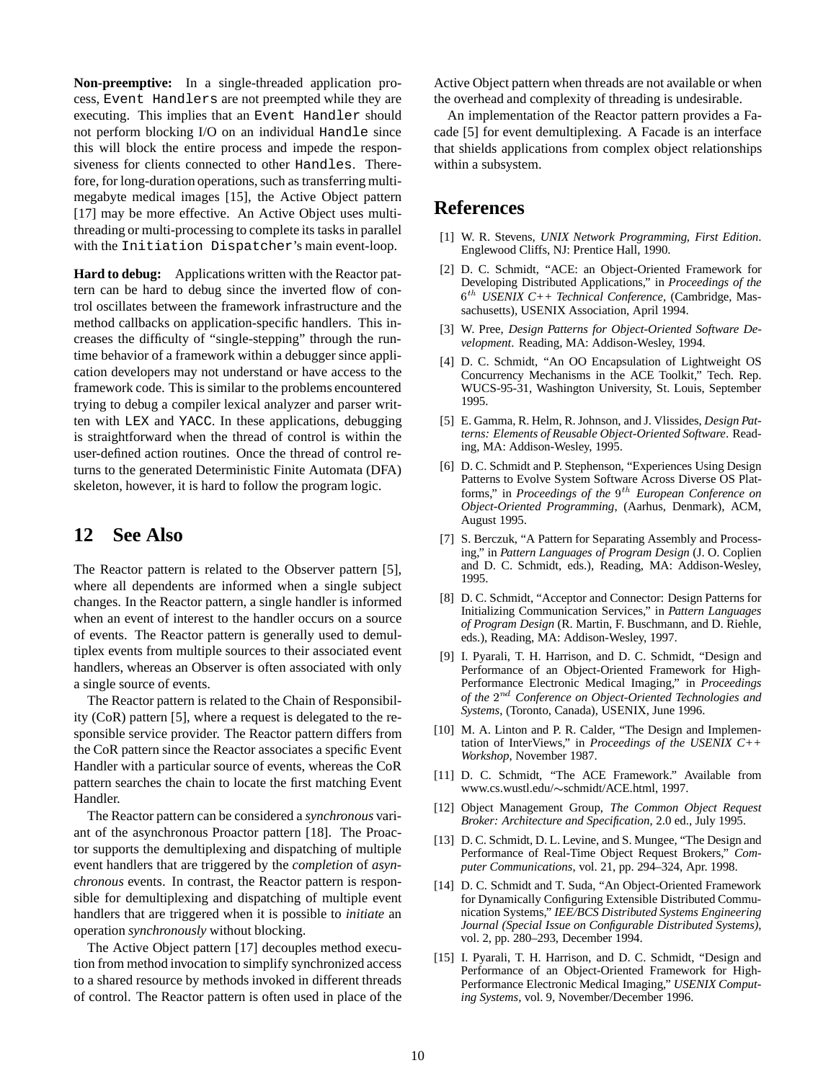**Non-preemptive:** In a single-threaded application process, Event Handlers are not preempted while they are executing. This implies that an Event Handler should not perform blocking I/O on an individual Handle since this will block the entire process and impede the responsiveness for clients connected to other Handles. Therefore, for long-duration operations, such as transferring multimegabyte medical images [15], the Active Object pattern [17] may be more effective. An Active Object uses multithreading or multi-processing to complete its tasks in parallel with the Initiation Dispatcher's main event-loop.

**Hard to debug:** Applications written with the Reactor pattern can be hard to debug since the inverted flow of control oscillates between the framework infrastructure and the method callbacks on application-specific handlers. This increases the difficulty of "single-stepping" through the runtime behavior of a framework within a debugger since application developers may not understand or have access to the framework code. This is similar to the problems encountered trying to debug a compiler lexical analyzer and parser written with LEX and YACC. In these applications, debugging is straightforward when the thread of control is within the user-defined action routines. Once the thread of control returns to the generated Deterministic Finite Automata (DFA) skeleton, however, it is hard to follow the program logic.

## **12 See Also**

The Reactor pattern is related to the Observer pattern [5], where all dependents are informed when a single subject changes. In the Reactor pattern, a single handler is informed when an event of interest to the handler occurs on a source of events. The Reactor pattern is generally used to demultiplex events from multiple sources to their associated event handlers, whereas an Observer is often associated with only a single source of events.

The Reactor pattern is related to the Chain of Responsibility (CoR) pattern [5], where a request is delegated to the responsible service provider. The Reactor pattern differs from the CoR pattern since the Reactor associates a specific Event Handler with a particular source of events, whereas the CoR pattern searches the chain to locate the first matching Event Handler.

The Reactor pattern can be considered a *synchronous* variant of the asynchronous Proactor pattern [18]. The Proactor supports the demultiplexing and dispatching of multiple event handlers that are triggered by the *completion* of *asynchronous* events. In contrast, the Reactor pattern is responsible for demultiplexing and dispatching of multiple event handlers that are triggered when it is possible to *initiate* an operation *synchronously* without blocking.

The Active Object pattern [17] decouples method execution from method invocation to simplify synchronized access to a shared resource by methods invoked in different threads of control. The Reactor pattern is often used in place of the Active Object pattern when threads are not available or when the overhead and complexity of threading is undesirable.

An implementation of the Reactor pattern provides a Facade [5] for event demultiplexing. A Facade is an interface that shields applications from complex object relationships within a subsystem.

## **References**

- [1] W. R. Stevens, *UNIX Network Programming, First Edition*. Englewood Cliffs, NJ: Prentice Hall, 1990.
- [2] D. C. Schmidt, "ACE: an Object-Oriented Framework for Developing Distributed Applications," in *Proceedings of the* <sup>6</sup> th *USENIX C++ Technical Conference*, (Cambridge, Massachusetts), USENIX Association, April 1994.
- [3] W. Pree, *Design Patterns for Object-Oriented Software Development*. Reading, MA: Addison-Wesley, 1994.
- [4] D. C. Schmidt, "An OO Encapsulation of Lightweight OS Concurrency Mechanisms in the ACE Toolkit," Tech. Rep. WUCS-95-31, Washington University, St. Louis, September 1995.
- [5] E. Gamma, R. Helm, R. Johnson, and J. Vlissides, *Design Patterns: Elements of Reusable Object-Oriented Software*. Reading, MA: Addison-Wesley, 1995.
- [6] D. C. Schmidt and P. Stephenson, "Experiences Using Design Patterns to Evolve System Software Across Diverse OS Platforms," in *Proceedings of the* 9<sup>th</sup> European Conference on *Object-Oriented Programming*, (Aarhus, Denmark), ACM, August 1995.
- [7] S. Berczuk, "A Pattern for Separating Assembly and Processing," in *Pattern Languages of Program Design* (J. O. Coplien and D. C. Schmidt, eds.), Reading, MA: Addison-Wesley, 1995.
- [8] D. C. Schmidt, "Acceptor and Connector: Design Patterns for Initializing Communication Services," in *Pattern Languages of Program Design* (R. Martin, F. Buschmann, and D. Riehle, eds.), Reading, MA: Addison-Wesley, 1997.
- [9] I. Pyarali, T. H. Harrison, and D. C. Schmidt, "Design and Performance of an Object-Oriented Framework for High-Performance Electronic Medical Imaging," in *Proceedings* of the 2<sup>nd</sup> Conference on Object-Oriented Technologies and *Systems*, (Toronto, Canada), USENIX, June 1996.
- [10] M. A. Linton and P. R. Calder, "The Design and Implementation of InterViews," in *Proceedings of the USENIX C++ Workshop*, November 1987.
- [11] D. C. Schmidt, "The ACE Framework." Available from www.cs.wustl.edu/~schmidt/ACE.html, 1997.
- [12] Object Management Group, *The Common Object Request Broker: Architecture and Specification*, 2.0 ed., July 1995.
- [13] D. C. Schmidt, D. L. Levine, and S. Mungee, "The Design and Performance of Real-Time Object Request Brokers," *Computer Communications*, vol. 21, pp. 294–324, Apr. 1998.
- [14] D. C. Schmidt and T. Suda, "An Object-Oriented Framework for Dynamically Configuring Extensible Distributed Communication Systems," *IEE/BCS Distributed Systems Engineering Journal (Special Issue on Configurable Distributed Systems)*, vol. 2, pp. 280–293, December 1994.
- [15] I. Pyarali, T. H. Harrison, and D. C. Schmidt, "Design and Performance of an Object-Oriented Framework for High-Performance Electronic Medical Imaging," *USENIX Computing Systems*, vol. 9, November/December 1996.